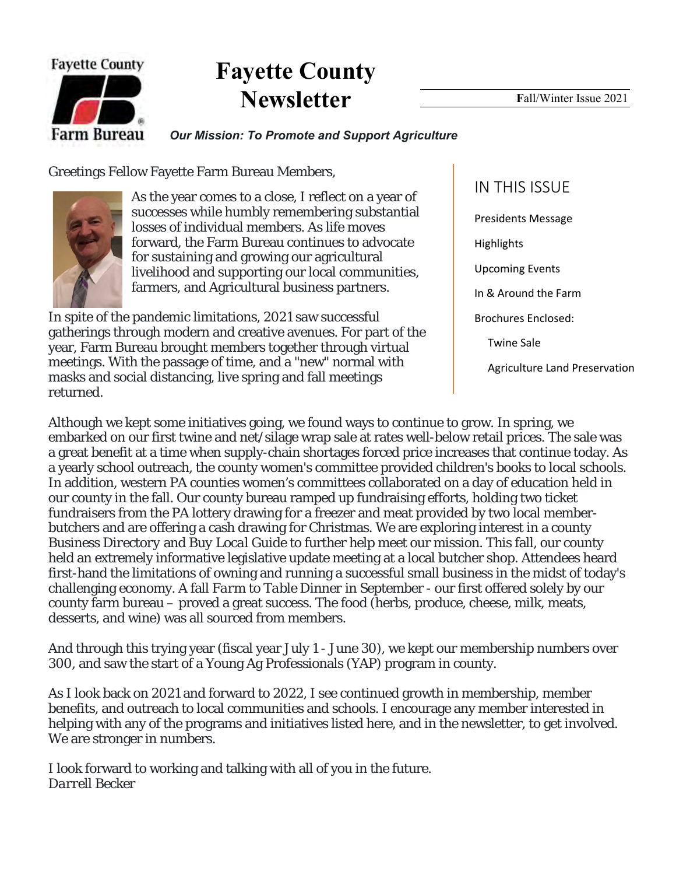

# **Fayette County Newsletter**

#### *Our Mission: To Promote and Support Agriculture*

Greetings Fellow Fayette Farm Bureau Members,



As the year comes to a close, I reflect on a year of successes while humbly remembering substantial losses of individual members. As life moves forward, the Farm Bureau continues to advocate for sustaining and growing our agricultural livelihood and supporting our local communities, farmers, and Agricultural business partners.

In spite of the pandemic limitations, 2021 saw successful gatherings through modern and creative avenues. For part of the year, Farm Bureau brought members together through virtual meetings. With the passage of time, and a "new" normal with masks and social distancing, live spring and fall meetings returned.

### IN THIS ISSUE

Presidents Message **Highlights** Upcoming Events In & Around the Farm Brochures Enclosed: Twine Sale Agriculture Land Preservation

Although we kept some initiatives going, we found ways to continue to grow. In spring, we embarked on our first twine and net/silage wrap sale at rates well-below retail prices. The sale was a great benefit at a time when supply-chain shortages forced price increases that continue today. As a yearly school outreach, the county women's committee provided children's books to local schools. In addition, western PA counties women's committees collaborated on a day of education held in our county in the fall. Our county bureau ramped up fundraising efforts, holding two ticket fundraisers from the PA lottery drawing for a freezer and meat provided by two local memberbutchers and are offering a cash drawing for Christmas. We are exploring interest in a county *Business Directory* and *Buy Local Guide* to further help meet our mission. This fall, our county held an extremely informative legislative update meeting at a local butcher shop. Attendees heard first-hand the limitations of owning and running a successful small business in the midst of today's challenging economy. A fall *Farm to Table Dinner* in September - our first offered solely by our county farm bureau – proved a great success. The food (herbs, produce, cheese, milk, meats, desserts, and wine) was all sourced from members.

And through this trying year (fiscal year July 1 - June 30), we kept our membership numbers over 300, and saw the start of a Young Ag Professionals (YAP) program in county.

As I look back on 2021 and forward to 2022, I see continued growth in membership, member benefits, and outreach to local communities and schools. I encourage any member interested in helping with any of the programs and initiatives listed here, and in the newsletter, to get involved. We are stronger in numbers.

I look forward to working and talking with all of you in the future. *Darrell Becker*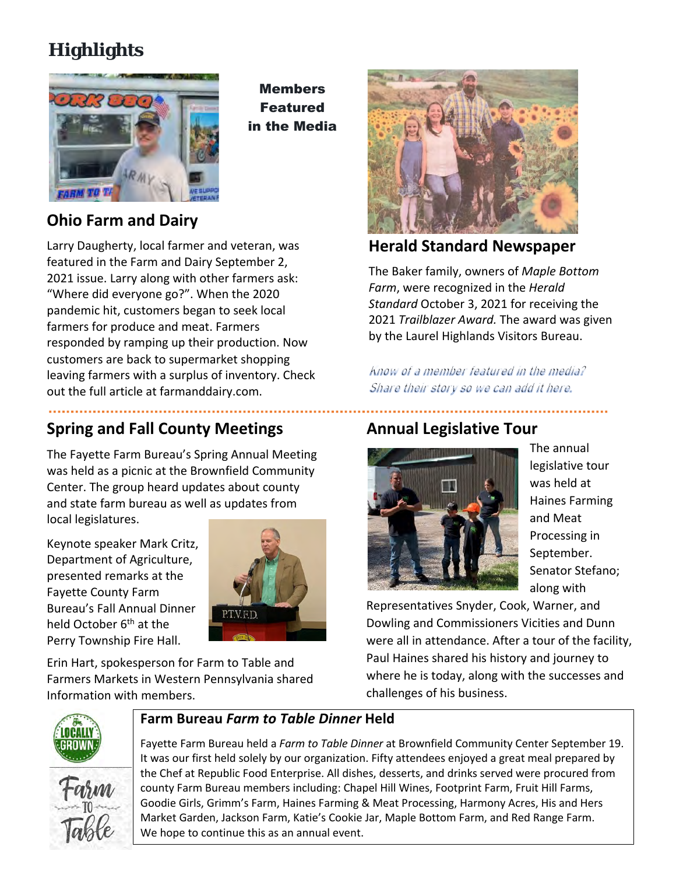## **Highlights**



Members Featured in the Media

### **Ohio Farm and Dairy**

Larry Daugherty, local farmer and veteran, was featured in the Farm and Dairy September 2, 2021 issue. Larry along with other farmers ask: "Where did everyone go?". When the 2020 pandemic hit, customers began to seek local farmers for produce and meat. Farmers responded by ramping up their production. Now customers are back to supermarket shopping leaving farmers with a surplus of inventory. Check out the full article at farmanddairy.com.

### **Spring and Fall County Meetings**

The Fayette Farm Bureau's Spring Annual Meeting was held as a picnic at the Brownfield Community Center. The group heard updates about county and state farm bureau as well as updates from local legislatures.

Keynote speaker Mark Critz, Department of Agriculture, presented remarks at the Fayette County Farm Bureau's Fall Annual Dinner held October 6<sup>th</sup> at the Perry Township Fire Hall.



Erin Hart, spokesperson for Farm to Table and Farmers Markets in Western Pennsylvania shared Information with members.



#### **Herald Standard Newspaper**

The Baker family, owners of *Maple Bottom Farm*, were recognized in the *Herald Standard* October 3, 2021 for receiving the 2021 *Trailblazer Award.* The award was given by the Laurel Highlands Visitors Bureau.

Know of a member featured in the media? Share their story so we can add it here.

### **Annual Legislative Tour**



The annual legislative tour was held at Haines Farming and Meat Processing in September. Senator Stefano; along with

. . . . . . . . . . . . .

Representatives Snyder, Cook, Warner, and Dowling and Commissioners Vicities and Dunn were all in attendance. After a tour of the facility, Paul Haines shared his history and journey to where he is today, along with the successes and challenges of his business.



#### **Farm Bureau** *Farm to Table Dinner* **Held**

Fayette Farm Bureau held a *Farm to Table Dinner* at Brownfield Community Center September 19. It was our first held solely by our organization. Fifty attendees enjoyed a great meal prepared by the Chef at Republic Food Enterprise. All dishes, desserts, and drinks served were procured from county Farm Bureau members including: Chapel Hill Wines, Footprint Farm, Fruit Hill Farms, Goodie Girls, Grimm's Farm, Haines Farming & Meat Processing, Harmony Acres, His and Hers Market Garden, Jackson Farm, Katie's Cookie Jar, Maple Bottom Farm, and Red Range Farm. We hope to continue this as an annual event.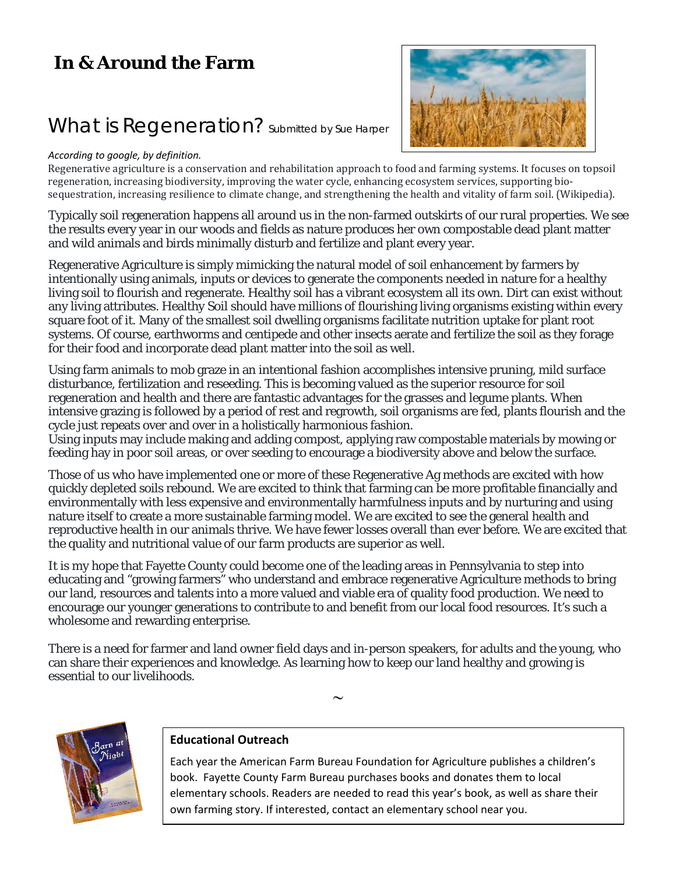### **In & Around the Farm**

### What is Regeneration? Submitted by Sue Harper

#### *According to google, by definition.*



Regenerative agriculture is a conservation and rehabilitation approach to food and farming systems. It focuses on topsoil regeneration, increasing biodiversity, improving the water cycle, enhancing ecosystem services, supporting biosequestration, increasing resilience to climate change, and strengthening the health and vitality of farm soil. (Wikipedia).

Typically soil regeneration happens all around us in the non-farmed outskirts of our rural properties. We see the results every year in our woods and fields as nature produces her own compostable dead plant matter and wild animals and birds minimally disturb and fertilize and plant every year.

Regenerative Agriculture is simply mimicking the natural model of soil enhancement by farmers by intentionally using animals, inputs or devices to generate the components needed in nature for a healthy living soil to flourish and regenerate. Healthy soil has a vibrant ecosystem all its own. Dirt can exist without any living attributes. Healthy Soil should have millions of flourishing living organisms existing within every square foot of it. Many of the smallest soil dwelling organisms facilitate nutrition uptake for plant root systems. Of course, earthworms and centipede and other insects aerate and fertilize the soil as they forage for their food and incorporate dead plant matter into the soil as well.

Using farm animals to mob graze in an intentional fashion accomplishes intensive pruning, mild surface disturbance, fertilization and reseeding. This is becoming valued as the superior resource for soil regeneration and health and there are fantastic advantages for the grasses and legume plants. When intensive grazing is followed by a period of rest and regrowth, soil organisms are fed, plants flourish and the cycle just repeats over and over in a holistically harmonious fashion.

Using inputs may include making and adding compost, applying raw compostable materials by mowing or feeding hay in poor soil areas, or over seeding to encourage a biodiversity above and below the surface.

Those of us who have implemented one or more of these Regenerative Ag methods are excited with how quickly depleted soils rebound. We are excited to think that farming can be more profitable financially and environmentally with less expensive and environmentally harmfulness inputs and by nurturing and using nature itself to create a more sustainable farming model. We are excited to see the general health and reproductive health in our animals thrive. We have fewer losses overall than ever before. We are excited that the quality and nutritional value of our farm products are superior as well.

It is my hope that Fayette County could become one of the leading areas in Pennsylvania to step into educating and "growing farmers" who understand and embrace regenerative Agriculture methods to bring our land, resources and talents into a more valued and viable era of quality food production. We need to encourage our younger generations to contribute to and benefit from our local food resources. It's such a wholesome and rewarding enterprise.

There is a need for farmer and land owner field days and in-person speakers, for adults and the young, who can share their experiences and knowledge. As learning how to keep our land healthy and growing is essential to our livelihoods.

 $\sim$ 



#### **Educational Outreach**

Each year the American Farm Bureau Foundation for Agriculture publishes a children's book. Fayette County Farm Bureau purchases books and donates them to local elementary schools. Readers are needed to read this year's book, as well as share their own farming story. If interested, contact an elementary school near you.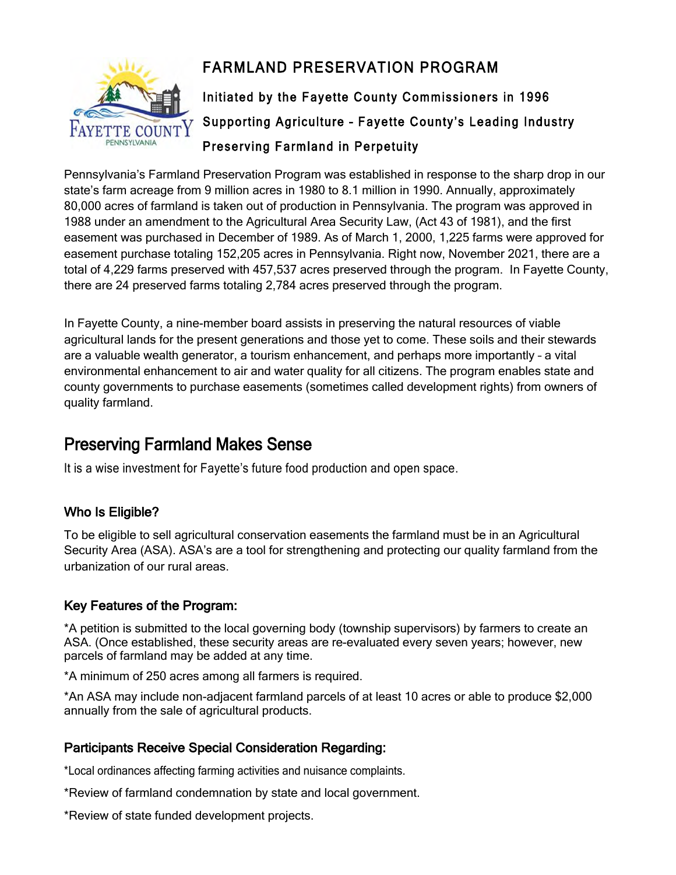

### FARMLAND PRESERVATION PROGRAM

Initiated by the Fayette County Commissioners in 1996 Supporting Agriculture – Fayette County's Leading Industry Preserving Farmland in Perpetuity

Pennsylvania's Farmland Preservation Program was established in response to the sharp drop in our state's farm acreage from 9 million acres in 1980 to 8.1 million in 1990. Annually, approximately 80,000 acres of farmland is taken out of production in Pennsylvania. The program was approved in 1988 under an amendment to the Agricultural Area Security Law, (Act 43 of 1981), and the first easement was purchased in December of 1989. As of March 1, 2000, 1,225 farms were approved for easement purchase totaling 152,205 acres in Pennsylvania. Right now, November 2021, there are a total of 4,229 farms preserved with 457,537 acres preserved through the program. In Fayette County, there are 24 preserved farms totaling 2,784 acres preserved through the program.

In Fayette County, a nine-member board assists in preserving the natural resources of viable agricultural lands for the present generations and those yet to come. These soils and their stewards are a valuable wealth generator, a tourism enhancement, and perhaps more importantly – a vital environmental enhancement to air and water quality for all citizens. The program enables state and county governments to purchase easements (sometimes called development rights) from owners of quality farmland.

### Preserving Farmland Makes Sense

It is a wise investment for Fayette's future food production and open space.

#### Who Is Eligible?

To be eligible to sell agricultural conservation easements the farmland must be in an Agricultural Security Area (ASA). ASA's are a tool for strengthening and protecting our quality farmland from the urbanization of our rural areas.

#### Key Features of the Program:

\*A petition is submitted to the local governing body (township supervisors) by farmers to create an ASA. (Once established, these security areas are re-evaluated every seven years; however, new parcels of farmland may be added at any time.

\*A minimum of 250 acres among all farmers is required.

\*An ASA may include non-adjacent farmland parcels of at least 10 acres or able to produce \$2,000 annually from the sale of agricultural products.

#### Participants Receive Special Consideration Regarding:

\*Local ordinances affecting farming activities and nuisance complaints.

\*Review of farmland condemnation by state and local government.

\*Review of state funded development projects.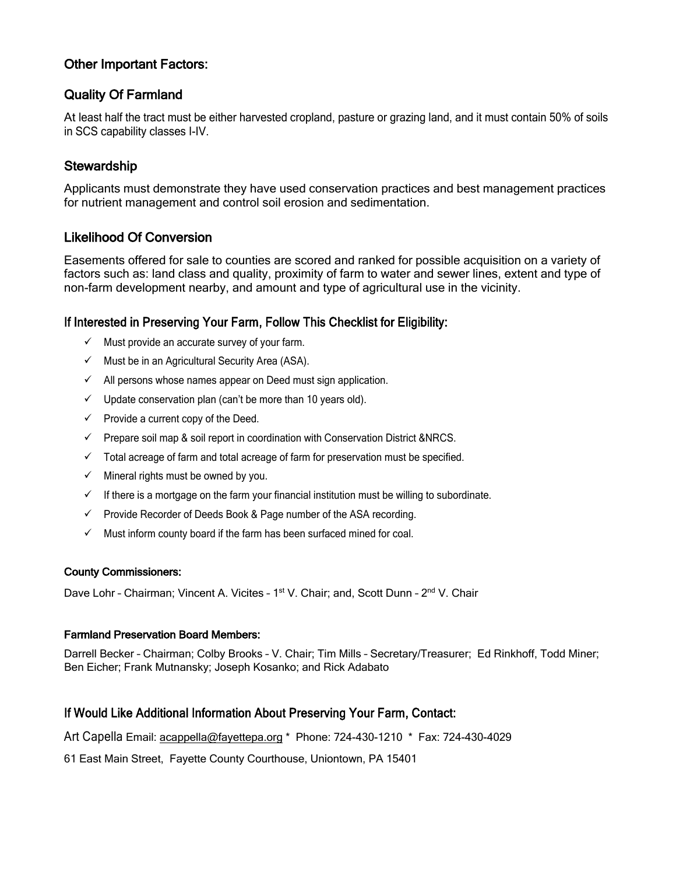#### Other Important Factors:

#### Quality Of Farmland

At least half the tract must be either harvested cropland, pasture or grazing land, and it must contain 50% of soils in SCS capability classes I-IV.

#### **Stewardship**

Applicants must demonstrate they have used conservation practices and best management practices for nutrient management and control soil erosion and sedimentation.

#### Likelihood Of Conversion

Easements offered for sale to counties are scored and ranked for possible acquisition on a variety of factors such as: land class and quality, proximity of farm to water and sewer lines, extent and type of non-farm development nearby, and amount and type of agricultural use in the vicinity.

#### If Interested in Preserving Your Farm, Follow This Checklist for Eligibility:

- $\checkmark$  Must provide an accurate survey of your farm.
- $\checkmark$  Must be in an Agricultural Security Area (ASA).
- $\checkmark$  All persons whose names appear on Deed must sign application.
- $\checkmark$  Update conservation plan (can't be more than 10 years old).
- $\checkmark$  Provide a current copy of the Deed.
- $\checkmark$  Prepare soil map & soil report in coordination with Conservation District &NRCS.
- $\checkmark$  Total acreage of farm and total acreage of farm for preservation must be specified.
- $\checkmark$  Mineral rights must be owned by you.
- $\checkmark$  If there is a mortgage on the farm your financial institution must be willing to subordinate.
- $\checkmark$  Provide Recorder of Deeds Book & Page number of the ASA recording.
- $\checkmark$  Must inform county board if the farm has been surfaced mined for coal.

#### County Commissioners:

Dave Lohr - Chairman; Vincent A. Vicites - 1<sup>st</sup> V. Chair; and, Scott Dunn - 2<sup>nd</sup> V. Chair

#### Farmland Preservation Board Members:

Darrell Becker – Chairman; Colby Brooks – V. Chair; Tim Mills – Secretary/Treasurer; Ed Rinkhoff, Todd Miner; Ben Eicher; Frank Mutnansky; Joseph Kosanko; and Rick Adabato

#### If Would Like Additional Information About Preserving Your Farm, Contact:

Art Capella Email: acappella@fayettepa.org \* Phone: 724-430-1210 \* Fax: 724-430-4029

61 East Main Street, Fayette County Courthouse, Uniontown, PA 15401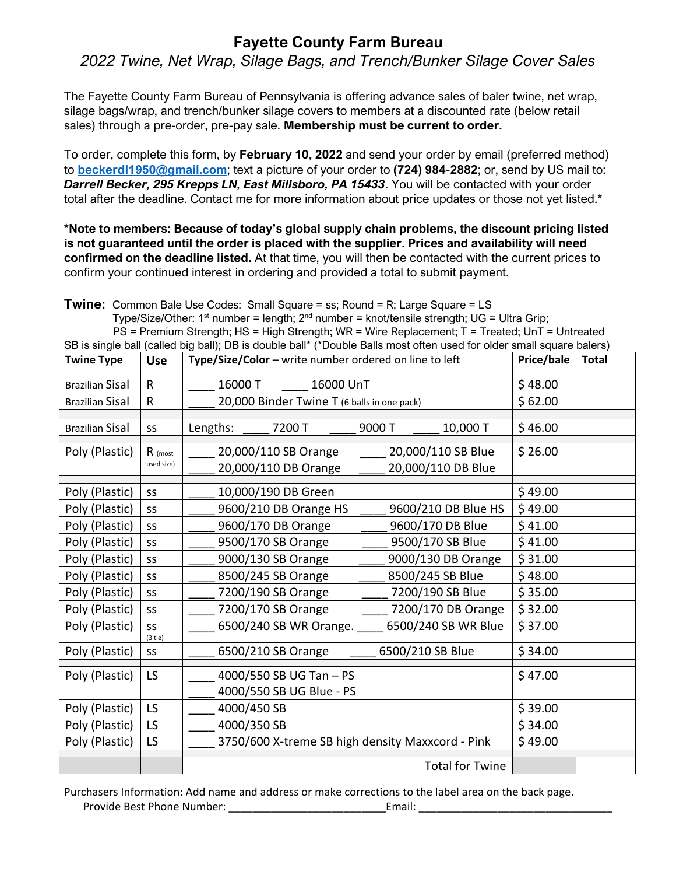#### **Fayette County Farm Bureau**

*2022 Twine, Net Wrap, Silage Bags, and Trench/Bunker Silage Cover Sales*

The Fayette County Farm Bureau of Pennsylvania is offering advance sales of baler twine, net wrap, silage bags/wrap, and trench/bunker silage covers to members at a discounted rate (below retail sales) through a pre-order, pre-pay sale. **Membership must be current to order.**

To order, complete this form, by **February 10, 2022** and send your order by email (preferred method) to **beckerdl1950@gmail.com**; text a picture of your order to **(724) 984-2882**; or, send by US mail to: *Darrell Becker, 295 Krepps LN, East Millsboro, PA 15433*. You will be contacted with your order total after the deadline. Contact me for more information about price updates or those not yet listed.\*

**\*Note to members: Because of today's global supply chain problems, the discount pricing listed is not guaranteed until the order is placed with the supplier. Prices and availability will need confirmed on the deadline listed.** At that time, you will then be contacted with the current prices to confirm your continued interest in ordering and provided a total to submit payment.

**Twine:** Common Bale Use Codes: Small Square = ss; Round = R; Large Square = LS Type/Size/Other: 1<sup>st</sup> number = length: 2<sup>nd</sup> number = knot/tensile strength: UG = Ultra Grip; PS = Premium Strength; HS = High Strength; WR = Wire Replacement; T = Treated; UnT = Untreated SB is single ball (called big ball); DB is double ball\* (\*Double Balls most often used for older small square balers)

| <b>Twine Type</b>      | <b>Use</b>      | Type/Size/Color - write number ordered on line to left | Price/bale | <b>Total</b> |
|------------------------|-----------------|--------------------------------------------------------|------------|--------------|
| <b>Brazilian Sisal</b> | $\mathsf{R}$    | 16000 T<br>16000 UnT                                   | \$48.00    |              |
| <b>Brazilian Sisal</b> | R               | 20,000 Binder Twine T (6 balls in one pack)            | \$62.00    |              |
|                        |                 |                                                        |            |              |
| <b>Brazilian Sisal</b> | SS              | 9000 T<br>Lengths:<br>7200 T<br>10,000 T               | \$46.00    |              |
| Poly (Plastic)         | R (most         | 20,000/110 SB Orange<br>20,000/110 SB Blue             | \$26.00    |              |
|                        | used size)      | 20,000/110 DB Blue<br>20,000/110 DB Orange             |            |              |
| Poly (Plastic)         | SS              | 10,000/190 DB Green                                    | \$49.00    |              |
| Poly (Plastic)         | SS              | 9600/210 DB Orange HS<br>9600/210 DB Blue HS           | \$49.00    |              |
| Poly (Plastic)         | SS              | 9600/170 DB Orange<br>9600/170 DB Blue                 | \$41.00    |              |
| Poly (Plastic)         | SS              | \$41.00<br>9500/170 SB Orange<br>9500/170 SB Blue      |            |              |
| Poly (Plastic)         | SS              | \$31.00<br>9000/130 SB Orange<br>9000/130 DB Orange    |            |              |
| Poly (Plastic)         | SS              | 8500/245 SB Blue<br>\$48.00<br>8500/245 SB Orange      |            |              |
| Poly (Plastic)         | SS              | 7200/190 SB Blue<br>\$35.00<br>7200/190 SB Orange      |            |              |
| Poly (Plastic)         | SS              | 7200/170 SB Orange<br>7200/170 DB Orange<br>\$32.00    |            |              |
| Poly (Plastic)         | SS<br>$(3$ tie) | 6500/240 SB WR Orange.<br>6500/240 SB WR Blue          | \$37.00    |              |
| Poly (Plastic)         | <b>SS</b>       | 6500/210 SB Blue<br>6500/210 SB Orange                 | \$34.00    |              |
| Poly (Plastic)         | LS              | 4000/550 SB UG Tan - PS                                | \$47.00    |              |
|                        |                 | 4000/550 SB UG Blue - PS                               |            |              |
| Poly (Plastic)         | LS              | 4000/450 SB                                            | \$39.00    |              |
| Poly (Plastic)         | LS              | 4000/350 SB                                            | \$34.00    |              |
| Poly (Plastic)         | LS              | 3750/600 X-treme SB high density Maxxcord - Pink       | \$49.00    |              |
|                        |                 | <b>Total for Twine</b>                                 |            |              |

Purchasers Information: Add name and address or make corrections to the label area on the back page. Provide Best Phone Number: \_\_\_\_\_\_\_\_\_\_\_\_\_\_\_\_\_\_\_\_\_\_\_\_\_\_Email: \_\_\_\_\_\_\_\_\_\_\_\_\_\_\_\_\_\_\_\_\_\_\_\_\_\_\_\_\_\_\_\_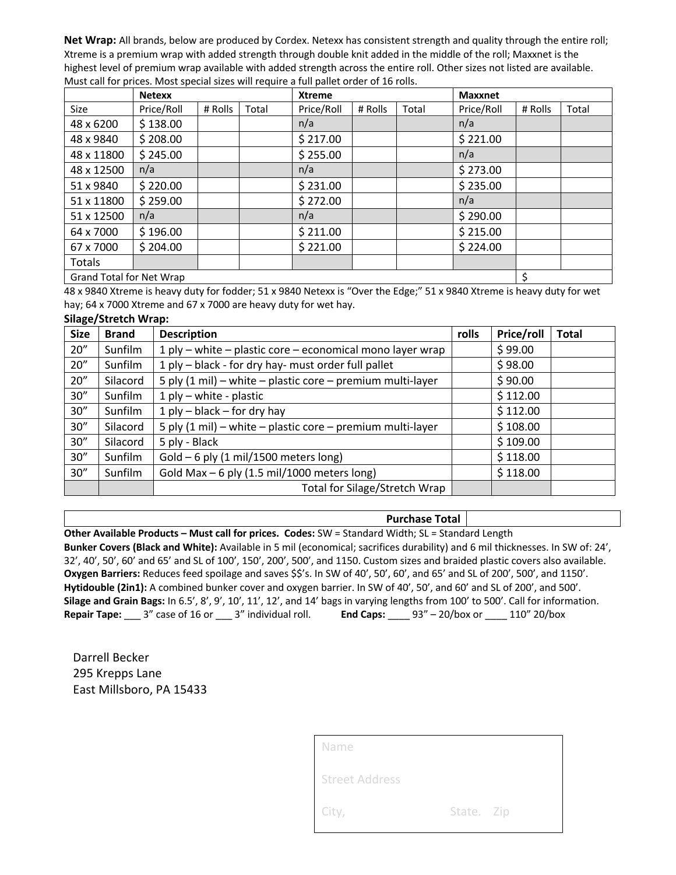**Net Wrap:** All brands, below are produced by Cordex. Netexx has consistent strength and quality through the entire roll; Xtreme is a premium wrap with added strength through double knit added in the middle of the roll; Maxxnet is the highest level of premium wrap available with added strength across the entire roll. Other sizes not listed are available. Must call for prices. Most special sizes will require a full pallet order of 16 rolls.

|                          | <b>Netexx</b> |         |       | <b>Xtreme</b> |         |       | <b>Maxxnet</b> |         |       |
|--------------------------|---------------|---------|-------|---------------|---------|-------|----------------|---------|-------|
| <b>Size</b>              | Price/Roll    | # Rolls | Total | Price/Roll    | # Rolls | Total | Price/Roll     | # Rolls | Total |
| 48 x 6200                | \$138.00      |         |       | n/a           |         |       | n/a            |         |       |
| 48 x 9840                | \$208.00      |         |       | \$217.00      |         |       | \$221.00       |         |       |
| 48 x 11800               | \$245.00      |         |       | \$255.00      |         |       | n/a            |         |       |
| 48 x 12500               | n/a           |         |       | n/a           |         |       | \$273.00       |         |       |
| 51 x 9840                | \$220.00      |         |       | \$231.00      |         |       | \$235.00       |         |       |
| 51 x 11800               | \$259.00      |         |       | \$272.00      |         |       | n/a            |         |       |
| 51 x 12500               | n/a           |         |       | n/a           |         |       | \$290.00       |         |       |
| 64 x 7000                | \$196.00      |         |       | \$211.00      |         |       | \$215.00       |         |       |
| 67 x 7000                | \$204.00      |         |       | \$221.00      |         |       | \$224.00       |         |       |
| Totals                   |               |         |       |               |         |       |                |         |       |
| Grand Total for Net Wrap |               |         |       |               | \$      |       |                |         |       |

48 x 9840 Xtreme is heavy duty for fodder; 51 x 9840 Netexx is "Over the Edge;" 51 x 9840 Xtreme is heavy duty for wet hay; 64 x 7000 Xtreme and 67 x 7000 are heavy duty for wet hay.

#### **Silage/Stretch Wrap:**

| <b>Size</b> | <b>Brand</b>                                      | <b>Description</b>                                         |  | Price/roll | <b>Total</b> |
|-------------|---------------------------------------------------|------------------------------------------------------------|--|------------|--------------|
| 20''        | Sunfilm                                           | 1 ply – white – plastic core – economical mono layer wrap  |  | \$99.00    |              |
| 20''        | Sunfilm                                           | 1 ply - black - for dry hay- must order full pallet        |  | \$98.00    |              |
| 20''        | Silacord                                          | 5 ply (1 mil) - white - plastic core - premium multi-layer |  | \$90.00    |              |
| 30''        | Sunfilm                                           | $1$ ply – white - plastic                                  |  | \$112.00   |              |
| 30''        | Sunfilm                                           | 1 ply $-$ black $-$ for dry hay                            |  | \$112.00   |              |
| 30''        | Silacord                                          | 5 ply (1 mil) - white - plastic core - premium multi-layer |  | \$108.00   |              |
| 30''        | Silacord                                          | 5 ply - Black                                              |  | \$109.00   |              |
| 30''        | Gold $-6$ ply (1 mil/1500 meters long)<br>Sunfilm |                                                            |  | \$118.00   |              |
| 30''        | Sunfilm                                           | Gold Max $-$ 6 ply (1.5 mil/1000 meters long)              |  | \$118.00   |              |
|             |                                                   | Total for Silage/Stretch Wrap                              |  |            |              |

#### **Purchase Total**

**Other Available Products – Must call for prices. Codes:** SW = Standard Width; SL = Standard Length **Bunker Covers (Black and White):** Available in 5 mil (economical; sacrifices durability) and 6 mil thicknesses. In SW of: 24', 32', 40', 50', 60' and 65' and SL of 100', 150', 200', 500', and 1150. Custom sizes and braided plastic covers also available. **Oxygen Barriers:** Reduces feed spoilage and saves \$\$'s. In SW of 40', 50', 60', and 65' and SL of 200', 500', and 1150'. **Hytidouble (2in1):** A combined bunker cover and oxygen barrier. In SW of 40', 50', and 60' and SL of 200', and 500'. **Silage and Grain Bags:** In 6.5', 8', 9', 10', 11', 12', and 14' bags in varying lengths from 100' to 500'. Call for information. **Repair Tape:** \_\_\_ 3" case of 16 or \_\_\_ 3" individual roll. **End Caps:** \_\_\_\_ 93" – 20/box or \_\_\_\_ 110" 20/box

Darrell Becker 295 Krepps Lane East Millsboro, PA 15433

| Name                  |            |  |
|-----------------------|------------|--|
| <b>Street Address</b> |            |  |
| City,                 | State. Zip |  |